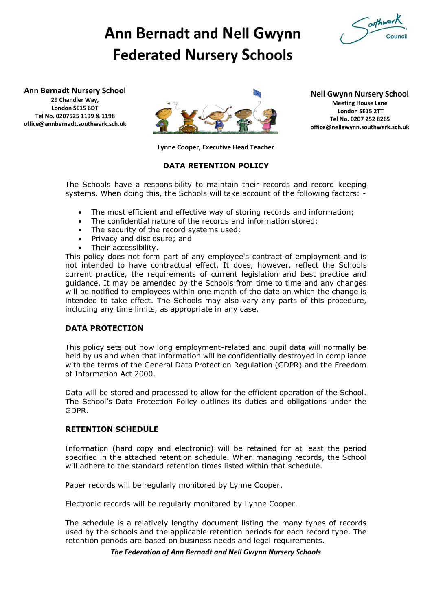

# **Ann Bernadt and Nell Gwynn Federated Nursery Schools**

**Ann Bernadt Nursery School**

**29 Chandler Way, London SE15 6DT Tel No. 0207525 1199 & 1198 [office@annbernadt.southwark.sch.uk](mailto:office@annbernadt.southwark.sch.uk)**



**Nell Gwynn Nursery School Meeting House Lane London SE15 2TT Tel No. 0207 252 8265 [office@nellgwynn.southwark.sch.uk](mailto:office@nellgwynn.southwark.sch.uk)**

**Lynne Cooper, Executive Head Teacher**

### **DATA RETENTION POLICY**

The Schools have a responsibility to maintain their records and record keeping systems. When doing this, the Schools will take account of the following factors: -

- The most efficient and effective way of storing records and information;
- The confidential nature of the records and information stored;
- The security of the record systems used;
- Privacy and disclosure; and
- Their accessibility.

This policy does not form part of any employee's contract of employment and is not intended to have contractual effect. It does, however, reflect the Schools current practice, the requirements of current legislation and best practice and guidance. It may be amended by the Schools from time to time and any changes will be notified to employees within one month of the date on which the change is intended to take effect. The Schools may also vary any parts of this procedure, including any time limits, as appropriate in any case.

# **DATA PROTECTION**

This policy sets out how long employment-related and pupil data will normally be held by us and when that information will be confidentially destroyed in compliance with the terms of the General Data Protection Regulation (GDPR) and the Freedom of Information Act 2000.

Data will be stored and processed to allow for the efficient operation of the School. The School's Data Protection Policy outlines its duties and obligations under the GDPR.

### **RETENTION SCHEDULE**

Information (hard copy and electronic) will be retained for at least the period specified in the attached retention schedule. When managing records, the School will adhere to the standard retention times listed within that schedule.

Paper records will be regularly monitored by Lynne Cooper.

Electronic records will be regularly monitored by Lynne Cooper.

The schedule is a relatively lengthy document listing the many types of records used by the schools and the applicable retention periods for each record type. The retention periods are based on business needs and legal requirements.

*The Federation of Ann Bernadt and Nell Gwynn Nursery Schools*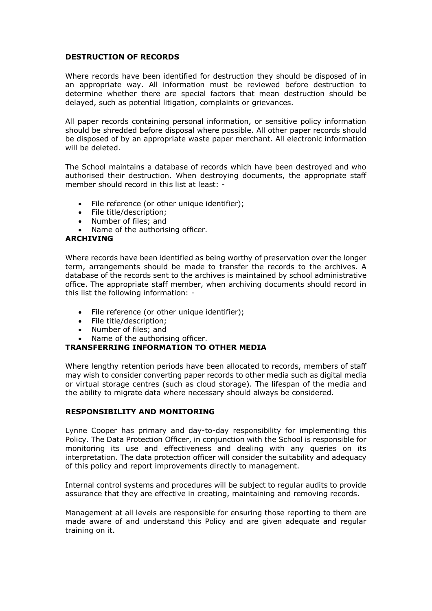#### **DESTRUCTION OF RECORDS**

Where records have been identified for destruction they should be disposed of in an appropriate way. All information must be reviewed before destruction to determine whether there are special factors that mean destruction should be delayed, such as potential litigation, complaints or grievances.

All paper records containing personal information, or sensitive policy information should be shredded before disposal where possible. All other paper records should be disposed of by an appropriate waste paper merchant. All electronic information will be deleted.

The School maintains a database of records which have been destroyed and who authorised their destruction. When destroying documents, the appropriate staff member should record in this list at least: -

- File reference (or other unique identifier):
- File title/description:
- Number of files; and
- Name of the authorising officer.

#### **ARCHIVING**

Where records have been identified as being worthy of preservation over the longer term, arrangements should be made to transfer the records to the archives. A database of the records sent to the archives is maintained by school administrative office. The appropriate staff member, when archiving documents should record in this list the following information: -

- File reference (or other unique identifier);
- File title/description;
- Number of files; and
- Name of the authorising officer.

# **TRANSFERRING INFORMATION TO OTHER MEDIA**

Where lengthy retention periods have been allocated to records, members of staff may wish to consider converting paper records to other media such as digital media or virtual storage centres (such as cloud storage). The lifespan of the media and the ability to migrate data where necessary should always be considered.

#### **RESPONSIBILITY AND MONITORING**

Lynne Cooper has primary and day-to-day responsibility for implementing this Policy. The Data Protection Officer, in conjunction with the School is responsible for monitoring its use and effectiveness and dealing with any queries on its interpretation. The data protection officer will consider the suitability and adequacy of this policy and report improvements directly to management.

Internal control systems and procedures will be subject to regular audits to provide assurance that they are effective in creating, maintaining and removing records.

Management at all levels are responsible for ensuring those reporting to them are made aware of and understand this Policy and are given adequate and regular training on it.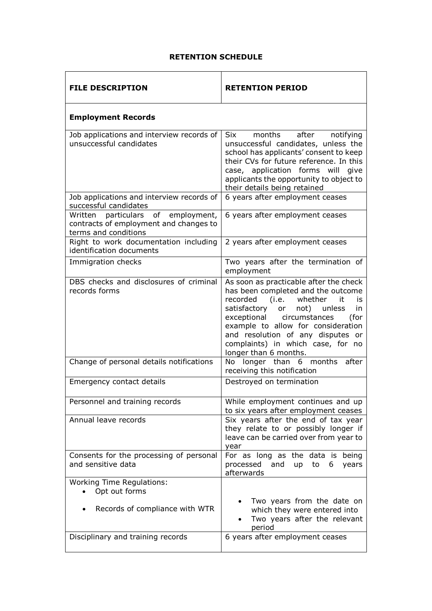## **RETENTION SCHEDULE**

÷,

| <b>FILE DESCRIPTION</b>                                                                                       | <b>RETENTION PERIOD</b>                                                                                                                                                                                                                                                                                                                  |
|---------------------------------------------------------------------------------------------------------------|------------------------------------------------------------------------------------------------------------------------------------------------------------------------------------------------------------------------------------------------------------------------------------------------------------------------------------------|
| <b>Employment Records</b>                                                                                     |                                                                                                                                                                                                                                                                                                                                          |
| Job applications and interview records of<br>unsuccessful candidates                                          | Six<br>months<br>after<br>notifying<br>unsuccessful candidates, unless the<br>school has applicants' consent to keep<br>their CVs for future reference. In this<br>case, application forms will<br>give<br>applicants the opportunity to object to<br>their details being retained                                                       |
| Job applications and interview records of<br>successful candidates                                            | 6 years after employment ceases                                                                                                                                                                                                                                                                                                          |
| of<br>employment,<br>Written<br>particulars<br>contracts of employment and changes to<br>terms and conditions | 6 years after employment ceases                                                                                                                                                                                                                                                                                                          |
| Right to work documentation including<br>identification documents                                             | 2 years after employment ceases                                                                                                                                                                                                                                                                                                          |
| Immigration checks                                                                                            | Two years after the termination of<br>employment                                                                                                                                                                                                                                                                                         |
| DBS checks and disclosures of criminal<br>records forms                                                       | As soon as practicable after the check<br>has been completed and the outcome<br>recorded (i.e. whether<br>it<br>is<br>satisfactory or not)<br>unless<br>in<br>exceptional circumstances<br>(for<br>example to allow for consideration<br>and resolution of any disputes or<br>complaints) in which case, for no<br>longer than 6 months. |
| Change of personal details notifications                                                                      | No longer than 6 months after<br>receiving this notification                                                                                                                                                                                                                                                                             |
| Emergency contact details                                                                                     | Destroyed on termination                                                                                                                                                                                                                                                                                                                 |
| Personnel and training records                                                                                | While employment continues and up<br>to six years after employment ceases                                                                                                                                                                                                                                                                |
| Annual leave records                                                                                          | Six years after the end of tax year<br>they relate to or possibly longer if<br>leave can be carried over from year to<br>year                                                                                                                                                                                                            |
| Consents for the processing of personal<br>and sensitive data                                                 | For as long as the data is being<br>processed<br>and<br>to<br>6<br>years<br><b>up</b><br>afterwards                                                                                                                                                                                                                                      |
| <b>Working Time Regulations:</b><br>Opt out forms                                                             | Two years from the date on                                                                                                                                                                                                                                                                                                               |
| Records of compliance with WTR                                                                                | which they were entered into<br>Two years after the relevant<br>period                                                                                                                                                                                                                                                                   |
| Disciplinary and training records                                                                             | 6 years after employment ceases                                                                                                                                                                                                                                                                                                          |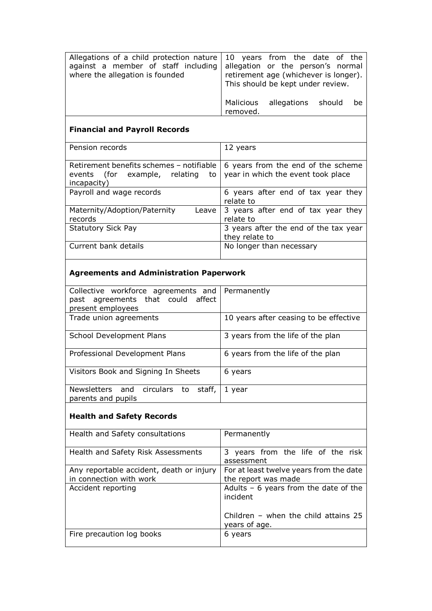| Allegations of a child protection nature $\vert$ 10 years from the date of the |                                       |
|--------------------------------------------------------------------------------|---------------------------------------|
| against a member of staff including                                            | allegation or the person's normal     |
| where the allegation is founded                                                | retirement age (whichever is longer). |
|                                                                                | This should be kept under review.     |
|                                                                                |                                       |
|                                                                                | allegations should<br>Malicious<br>be |
|                                                                                | removed.                              |

# **Financial and Payroll Records**

| Pension records                          | 12 years                              |
|------------------------------------------|---------------------------------------|
|                                          |                                       |
|                                          |                                       |
| Retirement benefits schemes - notifiable | 6 years from the end of the scheme    |
| events (for example, relating<br>to      | year in which the event took place    |
| incapacity)                              |                                       |
| Payroll and wage records                 | 6 years after end of tax year they    |
|                                          | relate to                             |
| Maternity/Adoption/Paternity<br>Leave    | 3 years after end of tax year they    |
| records                                  | relate to                             |
| <b>Statutory Sick Pay</b>                | 3 years after the end of the tax year |
|                                          | they relate to                        |
| Current bank details                     | No longer than necessary              |
|                                          |                                       |

# **Agreements and Administration Paperwork**

| Collective workforce agreements and       | Permanently                            |
|-------------------------------------------|----------------------------------------|
| past agreements that could affect         |                                        |
| present employees                         |                                        |
| Trade union agreements                    | 10 years after ceasing to be effective |
|                                           |                                        |
| School Development Plans                  | 3 years from the life of the plan      |
|                                           |                                        |
| Professional Development Plans            | 6 years from the life of the plan      |
|                                           |                                        |
| Visitors Book and Signing In Sheets       | 6 years                                |
|                                           |                                        |
| Newsletters and circulars<br>staff,<br>to | year                                   |
| parents and pupils                        |                                        |

# **Health and Safety Records**

| Health and Safety consultations          | Permanently                                             |
|------------------------------------------|---------------------------------------------------------|
| Health and Safety Risk Assessments       | 3 years from the life of the risk                       |
|                                          | assessment                                              |
| Any reportable accident, death or injury | For at least twelve years from the date                 |
| in connection with work                  | the report was made                                     |
| Accident reporting                       | Adults $-6$ years from the date of the<br>incident      |
|                                          | Children - when the child attains $25$<br>years of age. |
| Fire precaution log books                | 6 years                                                 |